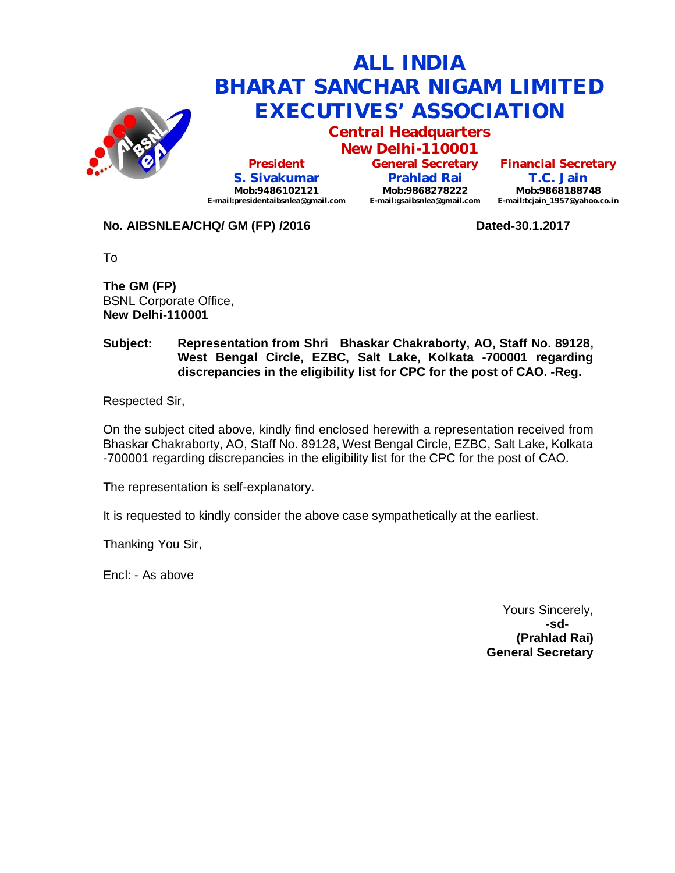

# **ALL INDIA BHARAT SANCHAR NIGAM LIMITED EXECUTIVES' ASSOCIATION**

**Central Headquarters**

**New Delhi-110001 President S. Sivakumar Mob:9486102121 E-mail:presidentaibsnlea@gmail.com**

**General Secretary Prahlad Rai Mob:9868278222 E-mail:gsaibsnlea@gmail.com**

**Financial Secretary T.C. Jain Mob:9868188748 E-mail:tcjain\_1957@yahoo.co.in**

**No. AIBSNLEA/CHQ/ GM (FP) /2016 Dated-30.1.2017**

To

**The GM (FP)** BSNL Corporate Office, **New Delhi-110001** 

#### **Subject: Representation from Shri Bhaskar Chakraborty, AO, Staff No. 89128, West Bengal Circle, EZBC, Salt Lake, Kolkata -700001 regarding discrepancies in the eligibility list for CPC for the post of CAO. -Reg.**

Respected Sir,

On the subject cited above, kindly find enclosed herewith a representation received from Bhaskar Chakraborty, AO, Staff No. 89128, West Bengal Circle, EZBC, Salt Lake, Kolkata -700001 regarding discrepancies in the eligibility list for the CPC for the post of CAO.

The representation is self-explanatory.

It is requested to kindly consider the above case sympathetically at the earliest.

Thanking You Sir,

Encl: - As above

Yours Sincerely, **-sd- (Prahlad Rai) General Secretary**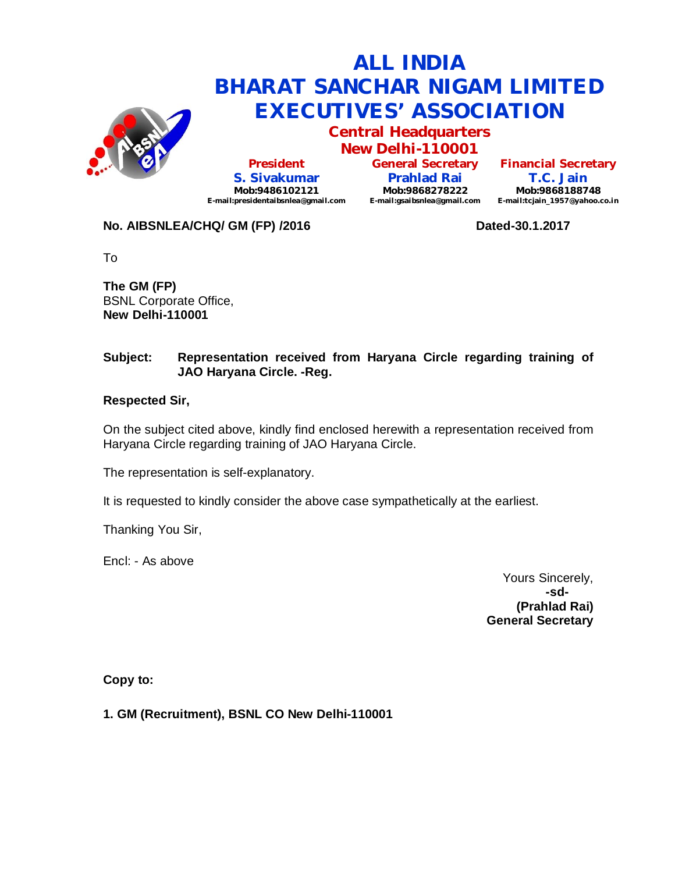

# **ALL INDIA BHARAT SANCHAR NIGAM LIMITED EXECUTIVES' ASSOCIATION**

**Central Headquarters New Delhi-110001**

**President S. Sivakumar Mob:9486102121 E-mail:presidentaibsnlea@gmail.com**

**General Secretary Prahlad Rai Mob:9868278222 E-mail:gsaibsnlea@gmail.com E-mail:tcjain\_1957@yahoo.co.in**

**Financial Secretary T.C. Jain Mob:9868188748**

### **No. AIBSNLEA/CHQ/ GM (FP) /2016 Dated-30.1.2017**

To

**The GM (FP)** BSNL Corporate Office, **New Delhi-110001** 

### **Subject: Representation received from Haryana Circle regarding training of JAO Haryana Circle. -Reg.**

#### **Respected Sir,**

On the subject cited above, kindly find enclosed herewith a representation received from Haryana Circle regarding training of JAO Haryana Circle.

The representation is self-explanatory.

It is requested to kindly consider the above case sympathetically at the earliest.

Thanking You Sir,

Encl: - As above

Yours Sincerely, **-sd- (Prahlad Rai) General Secretary**

**Copy to:**

**1. GM (Recruitment), BSNL CO New Delhi-110001**